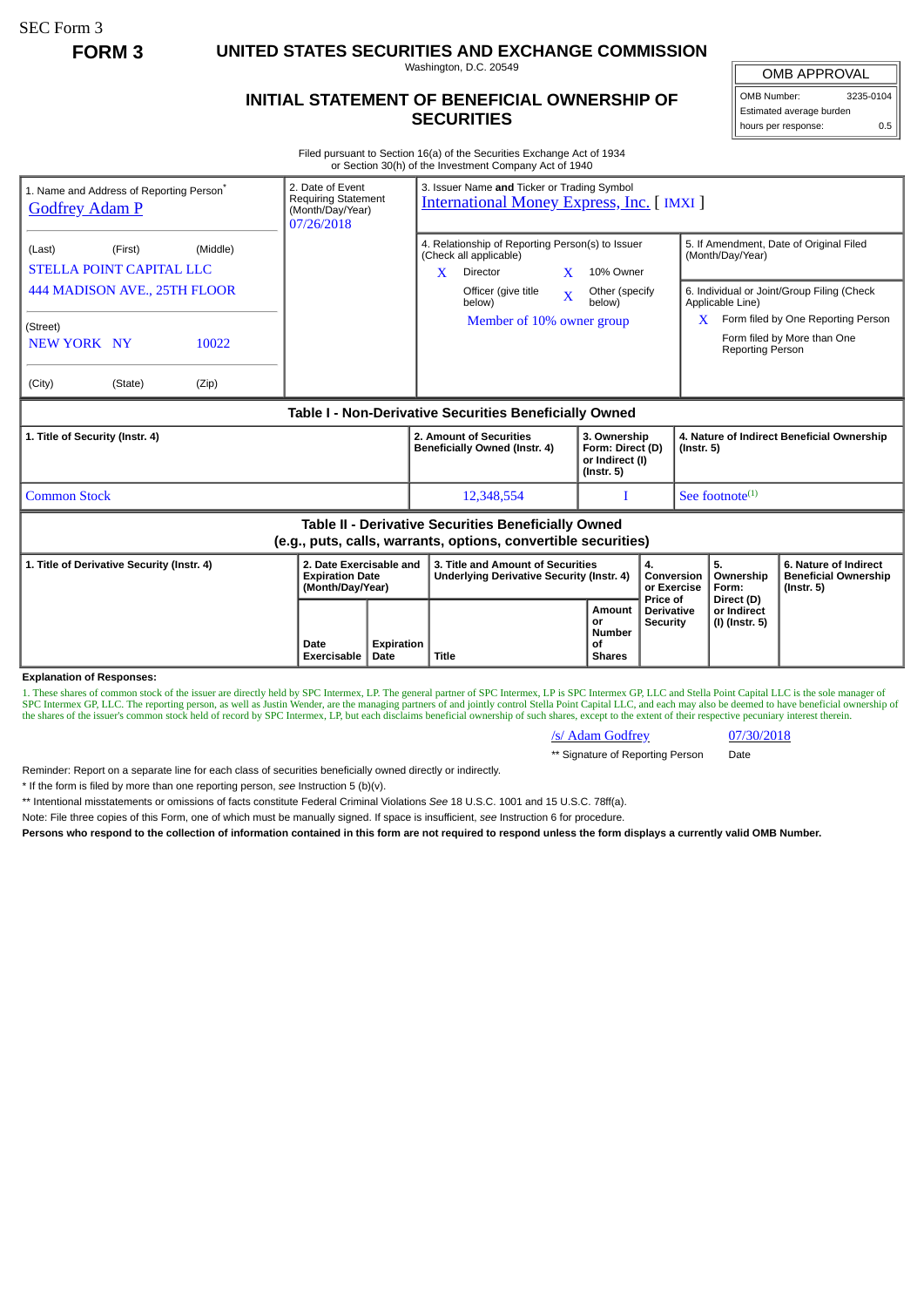SEC Form 3

**FORM 3 UNITED STATES SECURITIES AND EXCHANGE COMMISSION**

Washington, D.C. 20549

## **INITIAL STATEMENT OF BENEFICIAL OWNERSHIP OF SECURITIES**

OMB APPROVAL OMB Number: 3235-0104

Estimated average burden hours per response: 0.5

Filed pursuant to Section 16(a) of the Securities Exchange Act of 1934 or Section 30(h) of the Investment Company Act of 1940

| 2. Date of Event<br>1. Name and Address of Reporting Person <sup>®</sup><br><b>Requiring Statement</b><br><b>Godfrey Adam P</b><br>(Month/Day/Year)<br>07/26/2018 |                                                                       |                    | 3. Issuer Name and Ticker or Trading Symbol<br><b>International Money Express, Inc. [IMXI]</b>                         |                                                                         |                                                  |                                                                |                                                                          |
|-------------------------------------------------------------------------------------------------------------------------------------------------------------------|-----------------------------------------------------------------------|--------------------|------------------------------------------------------------------------------------------------------------------------|-------------------------------------------------------------------------|--------------------------------------------------|----------------------------------------------------------------|--------------------------------------------------------------------------|
| (First)<br>(Middle)<br>(Last)<br><b>STELLA POINT CAPITAL LLC</b>                                                                                                  |                                                                       |                    | 4. Relationship of Reporting Person(s) to Issuer<br>(Check all applicable)<br>$\mathbf{x}$<br>Director<br>$\mathbf{x}$ | 10% Owner                                                               |                                                  | (Month/Day/Year)                                               | 5. If Amendment, Date of Original Filed                                  |
| 444 MADISON AVE., 25TH FLOOR                                                                                                                                      |                                                                       |                    | Officer (give title<br>$\bar{\mathbf{X}}$<br>below)                                                                    | Other (specify<br>below)                                                |                                                  | Applicable Line)                                               | 6. Individual or Joint/Group Filing (Check                               |
| (Street)<br>NEW YORK NY<br>10022                                                                                                                                  |                                                                       |                    | Member of 10% owner group                                                                                              |                                                                         |                                                  | X.<br>Reporting Person                                         | Form filed by One Reporting Person<br>Form filed by More than One        |
| (City)<br>(State)<br>(Zip)                                                                                                                                        |                                                                       |                    |                                                                                                                        |                                                                         |                                                  |                                                                |                                                                          |
| Table I - Non-Derivative Securities Beneficially Owned                                                                                                            |                                                                       |                    |                                                                                                                        |                                                                         |                                                  |                                                                |                                                                          |
| 1. Title of Security (Instr. 4)                                                                                                                                   |                                                                       |                    | 2. Amount of Securities<br>Beneficially Owned (Instr. 4)                                                               | 3. Ownership<br>Form: Direct (D)<br>or Indirect (I)<br>$($ lnstr. 5 $)$ |                                                  | 4. Nature of Indirect Beneficial Ownership<br>$($ Instr. 5 $)$ |                                                                          |
| <b>Common Stock</b>                                                                                                                                               |                                                                       |                    | 12,348,554                                                                                                             |                                                                         |                                                  | See footnote $(1)$                                             |                                                                          |
| <b>Table II - Derivative Securities Beneficially Owned</b><br>(e.g., puts, calls, warrants, options, convertible securities)                                      |                                                                       |                    |                                                                                                                        |                                                                         |                                                  |                                                                |                                                                          |
| 1. Title of Derivative Security (Instr. 4)                                                                                                                        | 2. Date Exercisable and<br><b>Expiration Date</b><br>(Month/Day/Year) |                    | 3. Title and Amount of Securities<br>Underlying Derivative Security (Instr. 4)                                         |                                                                         | 4.<br>Conversion<br>or Exercise                  | 5.<br>Ownership<br>Form:                                       | 6. Nature of Indirect<br><b>Beneficial Ownership</b><br>$($ lnstr. 5 $)$ |
| <b>Explanation of Responses:</b>                                                                                                                                  | Date<br>Exercisable                                                   | Expiration<br>Date | Title                                                                                                                  | Amount<br>or<br>Number<br>οf<br><b>Shares</b>                           | Price of<br><b>Derivative</b><br><b>Security</b> | Direct (D)<br>or Indirect<br>(I) (Instr. 5)                    |                                                                          |

1. These shares of common stock of the issuer are directly held by SPC Intermex, LP. The general partner of SPC Intermex, LP is SPC Intermex GP, LLC and Stella Point Capital LLC is the sole manager of SPC Intermex GP, LLC. The reporting person, as well as Justin Wender, are the managing partners of and jointly control Stella Point Capital LLC, and each may also be deemed to have beneficial ownership of the shares of the

/s/ Adam Godfrey 07/30/2018

\*\* Signature of Reporting Person Date

Reminder: Report on a separate line for each class of securities beneficially owned directly or indirectly.

\* If the form is filed by more than one reporting person, *see* Instruction 5 (b)(v).

\*\* Intentional misstatements or omissions of facts constitute Federal Criminal Violations *See* 18 U.S.C. 1001 and 15 U.S.C. 78ff(a).

Note: File three copies of this Form, one of which must be manually signed. If space is insufficient, *see* Instruction 6 for procedure.

**Persons who respond to the collection of information contained in this form are not required to respond unless the form displays a currently valid OMB Number.**